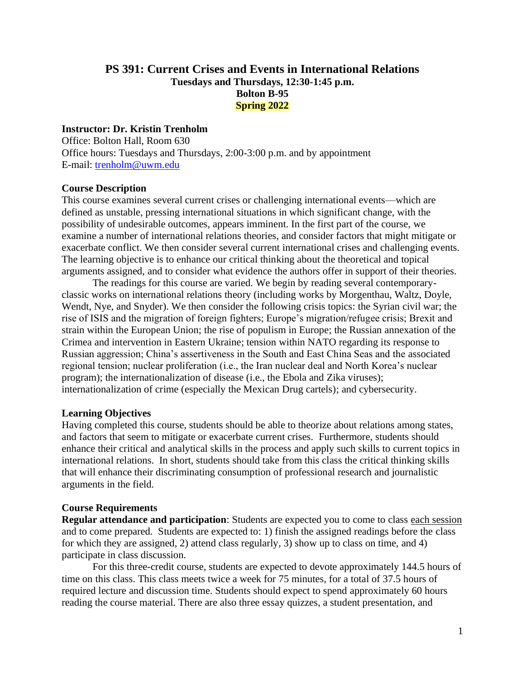# **PS 391: Current Crises and Events in International Relations Tuesdays and Thursdays, 12:30-1:45 p.m. Bolton B-95 Spring 2022**

#### **Instructor: Dr. Kristin Trenholm**

Office: Bolton Hall, Room 630 Office hours: Tuesdays and Thursdays, 2:00-3:00 p.m. and by appointment E-mail: [trenholm@uwm.edu](mailto:trenholm@uwm.edu)

#### **Course Description**

This course examines several current crises or challenging international events—which are defined as unstable, pressing international situations in which significant change, with the possibility of undesirable outcomes, appears imminent. In the first part of the course, we examine a number of international relations theories, and consider factors that might mitigate or exacerbate conflict. We then consider several current international crises and challenging events. The learning objective is to enhance our critical thinking about the theoretical and topical arguments assigned, and to consider what evidence the authors offer in support of their theories.

The readings for this course are varied. We begin by reading several contemporaryclassic works on international relations theory (including works by Morgenthau, Waltz, Doyle, Wendt, Nye, and Snyder). We then consider the following crisis topics: the Syrian civil war; the rise of ISIS and the migration of foreign fighters; Europe's migration/refugee crisis; Brexit and strain within the European Union; the rise of populism in Europe; the Russian annexation of the Crimea and intervention in Eastern Ukraine; tension within NATO regarding its response to Russian aggression; China's assertiveness in the South and East China Seas and the associated regional tension; nuclear proliferation (i.e., the Iran nuclear deal and North Korea's nuclear program); the internationalization of disease (i.e., the Ebola and Zika viruses); internationalization of crime (especially the Mexican Drug cartels); and cybersecurity.

#### **Learning Objectives**

Having completed this course, students should be able to theorize about relations among states, and factors that seem to mitigate or exacerbate current crises. Furthermore, students should enhance their critical and analytical skills in the process and apply such skills to current topics in international relations. In short, students should take from this class the critical thinking skills that will enhance their discriminating consumption of professional research and journalistic arguments in the field.

#### **Course Requirements**

**Regular attendance and participation**: Students are expected you to come to class each session and to come prepared. Students are expected to: 1) finish the assigned readings before the class for which they are assigned, 2) attend class regularly, 3) show up to class on time, and 4) participate in class discussion.

For this three-credit course, students are expected to devote approximately 144.5 hours of time on this class. This class meets twice a week for 75 minutes, for a total of 37.5 hours of required lecture and discussion time. Students should expect to spend approximately 60 hours reading the course material. There are also three essay quizzes, a student presentation, and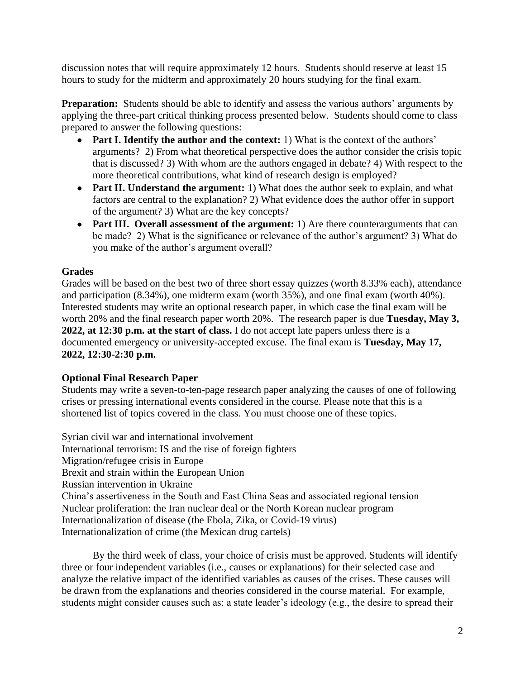discussion notes that will require approximately 12 hours. Students should reserve at least 15 hours to study for the midterm and approximately 20 hours studying for the final exam.

**Preparation:** Students should be able to identify and assess the various authors' arguments by applying the three-part critical thinking process presented below. Students should come to class prepared to answer the following questions:

- **Part I. Identify the author and the context:** 1) What is the context of the authors' arguments? 2) From what theoretical perspective does the author consider the crisis topic that is discussed? 3) With whom are the authors engaged in debate? 4) With respect to the more theoretical contributions, what kind of research design is employed?
- **Part II. Understand the argument:** 1) What does the author seek to explain, and what factors are central to the explanation? 2) What evidence does the author offer in support of the argument? 3) What are the key concepts?
- **Part III. Overall assessment of the argument:** 1) Are there counterarguments that can be made? 2) What is the significance or relevance of the author's argument? 3) What do you make of the author's argument overall?

# **Grades**

Grades will be based on the best two of three short essay quizzes (worth 8.33% each), attendance and participation (8.34%), one midterm exam (worth 35%), and one final exam (worth 40%). Interested students may write an optional research paper, in which case the final exam will be worth 20% and the final research paper worth 20%. The research paper is due **Tuesday, May 3, 2022, at 12:30 p.m. at the start of class.** I do not accept late papers unless there is a documented emergency or university-accepted excuse. The final exam is **Tuesday, May 17, 2022, 12:30-2:30 p.m.**

# **Optional Final Research Paper**

Students may write a seven-to-ten-page research paper analyzing the causes of one of following crises or pressing international events considered in the course. Please note that this is a shortened list of topics covered in the class. You must choose one of these topics.

Syrian civil war and international involvement International terrorism: IS and the rise of foreign fighters Migration/refugee crisis in Europe Brexit and strain within the European Union Russian intervention in Ukraine China's assertiveness in the South and East China Seas and associated regional tension Nuclear proliferation: the Iran nuclear deal or the North Korean nuclear program Internationalization of disease (the Ebola, Zika, or Covid-19 virus) Internationalization of crime (the Mexican drug cartels)

By the third week of class, your choice of crisis must be approved. Students will identify three or four independent variables (i.e., causes or explanations) for their selected case and analyze the relative impact of the identified variables as causes of the crises. These causes will be drawn from the explanations and theories considered in the course material. For example, students might consider causes such as: a state leader's ideology (e.g., the desire to spread their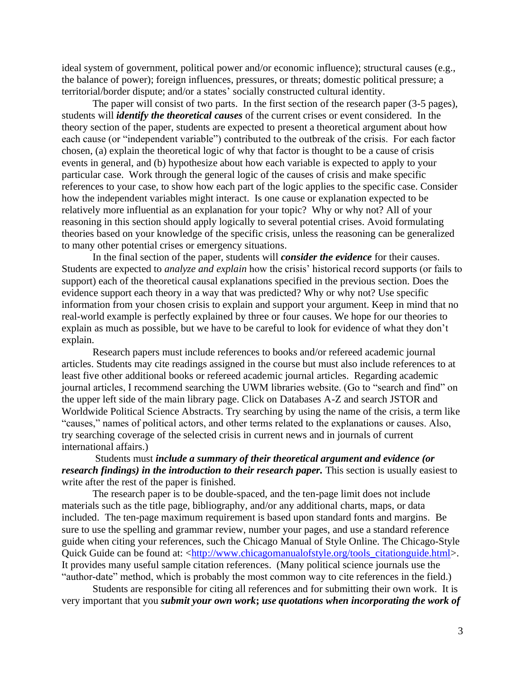ideal system of government, political power and/or economic influence); structural causes (e.g., the balance of power); foreign influences, pressures, or threats; domestic political pressure; a territorial/border dispute; and/or a states' socially constructed cultural identity.

The paper will consist of two parts. In the first section of the research paper (3-5 pages), students will *identify the theoretical causes* of the current crises or event considered. In the theory section of the paper, students are expected to present a theoretical argument about how each cause (or "independent variable") contributed to the outbreak of the crisis. For each factor chosen, (a) explain the theoretical logic of why that factor is thought to be a cause of crisis events in general, and (b) hypothesize about how each variable is expected to apply to your particular case. Work through the general logic of the causes of crisis and make specific references to your case, to show how each part of the logic applies to the specific case. Consider how the independent variables might interact. Is one cause or explanation expected to be relatively more influential as an explanation for your topic? Why or why not? All of your reasoning in this section should apply logically to several potential crises. Avoid formulating theories based on your knowledge of the specific crisis, unless the reasoning can be generalized to many other potential crises or emergency situations.

In the final section of the paper, students will *consider the evidence* for their causes. Students are expected to *analyze and explain* how the crisis' historical record supports (or fails to support) each of the theoretical causal explanations specified in the previous section. Does the evidence support each theory in a way that was predicted? Why or why not? Use specific information from your chosen crisis to explain and support your argument. Keep in mind that no real-world example is perfectly explained by three or four causes. We hope for our theories to explain as much as possible, but we have to be careful to look for evidence of what they don't explain.

Research papers must include references to books and/or refereed academic journal articles. Students may cite readings assigned in the course but must also include references to at least five other additional books or refereed academic journal articles. Regarding academic journal articles, I recommend searching the UWM libraries website. (Go to "search and find" on the upper left side of the main library page. Click on Databases A-Z and search JSTOR and Worldwide Political Science Abstracts. Try searching by using the name of the crisis, a term like "causes," names of political actors, and other terms related to the explanations or causes. Also, try searching coverage of the selected crisis in current news and in journals of current international affairs.)

Students must *include a summary of their theoretical argument and evidence (or research findings) in the introduction to their research paper.* This section is usually easiest to write after the rest of the paper is finished.

The research paper is to be double-spaced, and the ten-page limit does not include materials such as the title page, bibliography, and/or any additional charts, maps, or data included. The ten-page maximum requirement is based upon standard fonts and margins. Be sure to use the spelling and grammar review, number your pages, and use a standard reference guide when citing your references, such the Chicago Manual of Style Online. The Chicago-Style Quick Guide can be found at: [<http://www.chicagomanualofstyle.org/tools\\_citationguide.html>](http://www.chicagomanualofstyle.org/tools_citationguide.html). It provides many useful sample citation references. (Many political science journals use the "author-date" method, which is probably the most common way to cite references in the field.)

Students are responsible for citing all references and for submitting their own work. It is very important that you *submit your own work***;** *use quotations when incorporating the work of*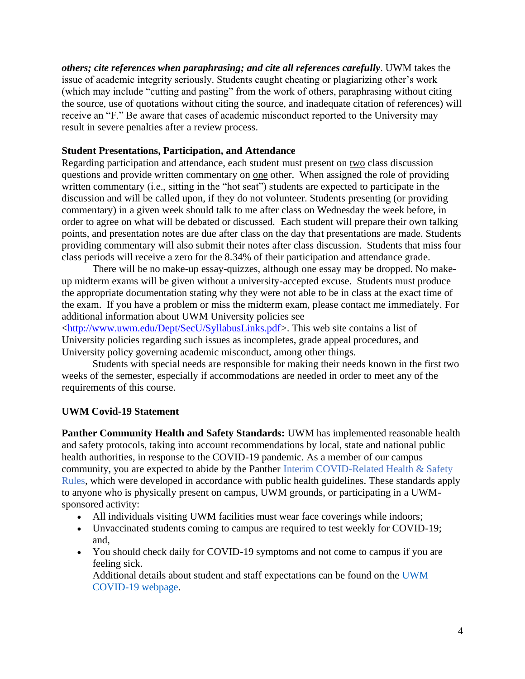*others; cite references when paraphrasing; and cite all references carefully*. UWM takes the issue of academic integrity seriously. Students caught cheating or plagiarizing other's work (which may include "cutting and pasting" from the work of others, paraphrasing without citing the source, use of quotations without citing the source, and inadequate citation of references) will receive an "F." Be aware that cases of academic misconduct reported to the University may result in severe penalties after a review process.

### **Student Presentations, Participation, and Attendance**

Regarding participation and attendance, each student must present on two class discussion questions and provide written commentary on one other. When assigned the role of providing written commentary (i.e., sitting in the "hot seat") students are expected to participate in the discussion and will be called upon, if they do not volunteer. Students presenting (or providing commentary) in a given week should talk to me after class on Wednesday the week before, in order to agree on what will be debated or discussed. Each student will prepare their own talking points, and presentation notes are due after class on the day that presentations are made. Students providing commentary will also submit their notes after class discussion. Students that miss four class periods will receive a zero for the 8.34% of their participation and attendance grade.

There will be no make-up essay-quizzes, although one essay may be dropped. No makeup midterm exams will be given without a university-accepted excuse. Students must produce the appropriate documentation stating why they were not able to be in class at the exact time of the exam. If you have a problem or miss the midterm exam, please contact me immediately. For additional information about UWM University policies see

[<http://www.uwm.edu/Dept/SecU/SyllabusLinks.pdf>](http://www.uwm.edu/Dept/SecU/SyllabusLinks.pdf). This web site contains a list of University policies regarding such issues as incompletes, grade appeal procedures, and University policy governing academic misconduct, among other things.

Students with special needs are responsible for making their needs known in the first two weeks of the semester, especially if accommodations are needed in order to meet any of the requirements of this course.

# **UWM Covid-19 Statement**

**Panther Community Health and Safety Standards:** UWM has implemented reasonable health and safety protocols, taking into account recommendations by local, state and national public health authorities, in response to the COVID-19 pandemic. As a member of our campus community, you are expected to abide by the Panther Interim COVID-Related Health & Safety Rules, which were developed in accordance with public health guidelines. These standards apply to anyone who is physically present on campus, UWM grounds, or participating in a UWMsponsored activity:

- All individuals visiting UWM facilities must wear face coverings while indoors;
- Unvaccinated students coming to campus are required to test weekly for COVID-19; and,
- You should check daily for COVID-19 symptoms and not come to campus if you are feeling sick.

Additional details about student and staff expectations can be found on the UWM COVID-19 webpage.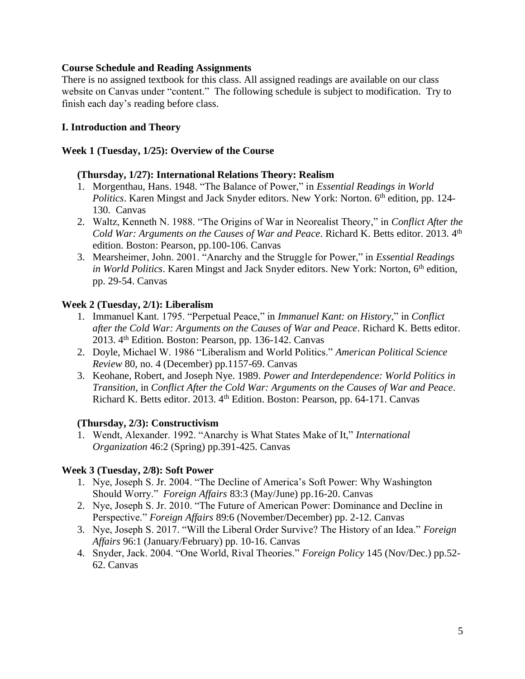### **Course Schedule and Reading Assignments**

There is no assigned textbook for this class. All assigned readings are available on our class website on Canvas under "content." The following schedule is subject to modification. Try to finish each day's reading before class.

### **I. Introduction and Theory**

### **Week 1 (Tuesday, 1/25): Overview of the Course**

### **(Thursday, 1/27): International Relations Theory: Realism**

- 1. Morgenthau, Hans. 1948. "The Balance of Power," in *Essential Readings in World Politics*. Karen Mingst and Jack Snyder editors. New York: Norton. 6<sup>th</sup> edition, pp. 124-130. Canvas
- 2. Waltz, Kenneth N. 1988. "The Origins of War in Neorealist Theory," in *Conflict After the*  Cold War: Arguments on the Causes of War and Peace. Richard K. Betts editor. 2013. 4<sup>th</sup> edition. Boston: Pearson, pp.100-106. Canvas
- 3. Mearsheimer, John. 2001. "Anarchy and the Struggle for Power," in *Essential Readings in World Politics*. Karen Mingst and Jack Snyder editors. New York: Norton, 6<sup>th</sup> edition, pp. 29-54. Canvas

### **Week 2 (Tuesday, 2/1): Liberalism**

- 1. Immanuel Kant. 1795. "Perpetual Peace," in *Immanuel Kant: on History*," in *Conflict after the Cold War: Arguments on the Causes of War and Peace*. Richard K. Betts editor. 2013. 4th Edition. Boston: Pearson, pp. 136-142. Canvas
- 2. Doyle, Michael W. 1986 "Liberalism and World Politics." *American Political Science Review* 80, no. 4 (December) pp.1157-69. Canvas
- 3. Keohane, Robert, and Joseph Nye. 1989. *Power and Interdependence: World Politics in Transition*, in *Conflict After the Cold War: Arguments on the Causes of War and Peace*. Richard K. Betts editor. 2013. 4<sup>th</sup> Edition. Boston: Pearson, pp. 64-171. Canvas

# **(Thursday, 2/3): Constructivism**

1. Wendt, Alexander. 1992. "Anarchy is What States Make of It," *International Organization* 46:2 (Spring) pp.391-425. Canvas

# **Week 3 (Tuesday, 2/8): Soft Power**

- 1. Nye, Joseph S. Jr. 2004. "The Decline of America's Soft Power: Why Washington Should Worry." *Foreign Affairs* 83:3 (May/June) pp.16-20. Canvas
- 2. Nye, Joseph S. Jr. 2010. "The Future of American Power: Dominance and Decline in Perspective." *Foreign Affairs* 89:6 (November/December) pp. 2-12. Canvas
- 3. Nye, Joseph S. 2017. "Will the Liberal Order Survive? The History of an Idea." *Foreign Affairs* 96:1 (January/February) pp. 10-16. Canvas
- 4. Snyder, Jack. 2004. "One World, Rival Theories." *Foreign Policy* 145 (Nov/Dec.) pp.52- 62. Canvas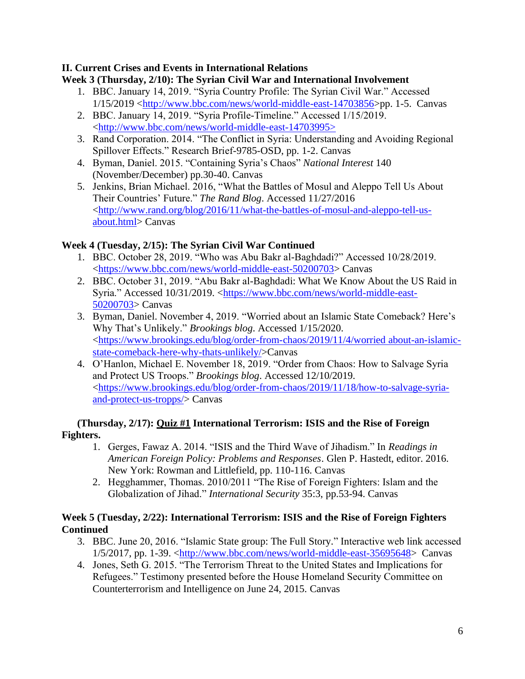# **II. Current Crises and Events in International Relations**

# **Week 3 (Thursday, 2/10): The Syrian Civil War and International Involvement**

- 1. BBC. January 14, 2019. "Syria Country Profile: The Syrian Civil War." Accessed 1/15/2019 [<http://www.bbc.com/news/world-middle-east-14703856>](http://www.bbc.com/news/world-middle-east-14703856)pp. 1-5. Canvas
- 2. BBC. January 14, 2019. "Syria Profile-Timeline." Accessed 1/15/2019. [<http://www.bbc.com/news/world-middle-east-14703995>](http://www.bbc.com/news/world-middle-east-14703995)
- 3. Rand Corporation. 2014. "The Conflict in Syria: Understanding and Avoiding Regional Spillover Effects." Research Brief-9785-OSD, pp. 1-2. Canvas
- 4. Byman, Daniel. 2015. "Containing Syria's Chaos" *National Interest* 140 (November/December) pp.30-40. Canvas
- 5. Jenkins, Brian Michael. 2016, "What the Battles of Mosul and Aleppo Tell Us About Their Countries' Future." *The Rand Blog*. Accessed 11/27/2016 [<http://www.rand.org/blog/2016/11/what-the-battles-of-mosul-and-aleppo-tell-us](http://www.rand.org/blog/2016/11/what-the-battles-of-mosul-and-aleppo-tell-us-about.html)[about.html>](http://www.rand.org/blog/2016/11/what-the-battles-of-mosul-and-aleppo-tell-us-about.html) Canvas

# **Week 4 (Tuesday, 2/15): The Syrian Civil War Continued**

- 1. BBC. October 28, 2019. "Who was Abu Bakr al-Baghdadi?" Accessed 10/28/2019. [<https://www.bbc.com/news/world-middle-east-50200703>](https://www.bbc.com/news/world-middle-east-50200703) Canvas
- 2. BBC. October 31, 2019. "Abu Bakr al-Baghdadi: What We Know About the US Raid in Syria." Accessed 10/31/2019. [<https://www.bbc.com/news/world-middle-east-](https://www.bbc.com/news/world-middle-east-50200703)[50200703>](https://www.bbc.com/news/world-middle-east-50200703) Canvas
- 3. Byman, Daniel. November 4, 2019. "Worried about an Islamic State Comeback? Here's Why That's Unlikely." *Brookings blog*. Accessed 1/15/2020. [<https://www.brookings.edu/blog/order-from-chaos/2019/11/4/worried about-an-islamic](https://www.brookings.edu/blog/order-from-chaos/2019/11/4/worried%20about-an-islamic-state-comeback-here-why-thats-unlikely/)[state-comeback-here-why-thats-unlikely/>](https://www.brookings.edu/blog/order-from-chaos/2019/11/4/worried%20about-an-islamic-state-comeback-here-why-thats-unlikely/)Canvas
- 4. O'Hanlon, Michael E. November 18, 2019. "Order from Chaos: How to Salvage Syria and Protect US Troops." *Brookings blog*. Accessed 12/10/2019. [<https://www.brookings.edu/blog/order-from-chaos/2019/11/18/how-to-salvage-syria](https://www.brookings.edu/blog/order-from-chaos/2019/11/18/how-to-salvage-syria-and-protect-us-tropps/)[and-protect-us-tropps/>](https://www.brookings.edu/blog/order-from-chaos/2019/11/18/how-to-salvage-syria-and-protect-us-tropps/) Canvas

# **(Thursday, 2/17): Quiz #1 International Terrorism: ISIS and the Rise of Foreign Fighters.**

- 1. Gerges, Fawaz A. 2014. "ISIS and the Third Wave of Jihadism." In *Readings in American Foreign Policy: Problems and Responses*. Glen P. Hastedt, editor. 2016. New York: Rowman and Littlefield, pp. 110-116. Canvas
- 2. Hegghammer, Thomas. 2010/2011 "The Rise of Foreign Fighters: Islam and the Globalization of Jihad." *International Security* 35:3, pp.53-94. Canvas

# **Week 5 (Tuesday, 2/22): International Terrorism: ISIS and the Rise of Foreign Fighters Continued**

- 3. BBC. June 20, 2016. "Islamic State group: The Full Story." Interactive web link accessed 1/5/2017, pp. 1-39. [<http://www.bbc.com/news/world-middle-east-35695648>](http://www.bbc.com/news/world-middle-east-35695648) Canvas
- 4. Jones, Seth G. 2015. "The Terrorism Threat to the United States and Implications for Refugees." Testimony presented before the House Homeland Security Committee on Counterterrorism and Intelligence on June 24, 2015. Canvas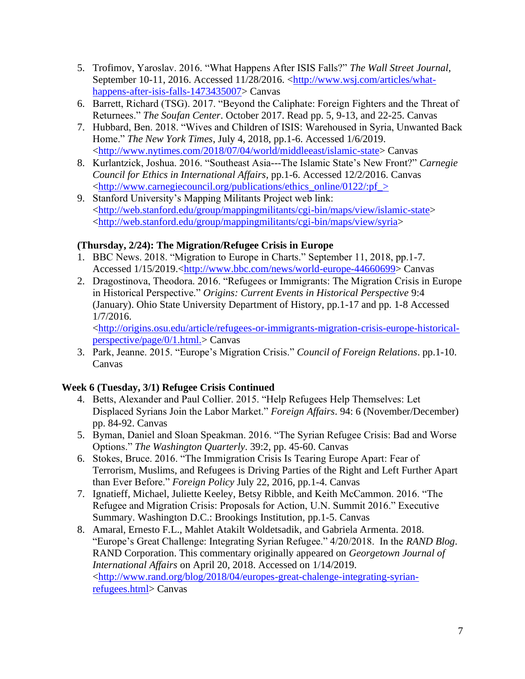- 5. Trofimov, Yaroslav. 2016. "What Happens After ISIS Falls?" *The Wall Street Journal*, September 10-11, 2016. Accessed 11/28/2016. [<http://www.wsj.com/articles/what](http://www.wsj.com/articles/what-happens-after-isis-falls-1473435007)[happens-after-isis-falls-1473435007>](http://www.wsj.com/articles/what-happens-after-isis-falls-1473435007) Canvas
- 6. Barrett, Richard (TSG). 2017. "Beyond the Caliphate: Foreign Fighters and the Threat of Returnees." *The Soufan Center*. October 2017. Read pp. 5, 9-13, and 22-25. Canvas
- 7. Hubbard, Ben. 2018. "Wives and Children of ISIS: Warehoused in Syria, Unwanted Back Home." *The New York Times*, July 4, 2018, pp.1-6. Accessed 1/6/2019. [<http://www.nytimes.com/2018/07/04/world/middleeast/islamic-state>](http://www.nytimes.com/2018/07/04/world/middleeast/islamic-state) Canvas
- 8. Kurlantzick, Joshua. 2016. "Southeast Asia---The Islamic State's New Front?" *Carnegie Council for Ethics in International Affairs*, pp.1-6. Accessed 12/2/2016. Canvas  $\langle \text{http://www.carnegiecouncil.org/publications/ethics} \text{ online/0122:} \text{pf}$
- 9. Stanford University's Mapping Militants Project web link: [<http://web.stanford.edu/group/mappingmilitants/cgi-bin/maps/view/islamic-state>](http://web.stanford.edu/group/mappingmilitants/cgi-bin/maps/view/islamic-state) [<http://web.stanford.edu/group/mappingmilitants/cgi-bin/maps/view/syria>](http://web.stanford.edu/group/mappingmilitants/cgi-bin/maps/view/syria)

# **(Thursday, 2/24): The Migration/Refugee Crisis in Europe**

- 1. BBC News. 2018. "Migration to Europe in Charts." September 11, 2018, pp.1-7. Accessed 1/15/2019.[<http://www.bbc.com/news/world-europe-44660699>](http://www.bbc.com/news/world-europe-44660699) Canvas
- 2. Dragostinova, Theodora. 2016. "Refugees or Immigrants: The Migration Crisis in Europe in Historical Perspective." *Origins: Current Events in Historical Perspective* 9:4 (January). Ohio State University Department of History, pp.1-17 and pp. 1-8 Accessed 1/7/2016.

[<http://origins.osu.edu/article/refugees-or-immigrants-migration-crisis-europe-historical](http://origins.osu.edu/article/refugees-or-immigrants-migration-crisis-europe-historical-perspective/page/0/1)[perspective/page/0/1.](http://origins.osu.edu/article/refugees-or-immigrants-migration-crisis-europe-historical-perspective/page/0/1)html.> Canvas

3. Park, Jeanne. 2015. "Europe's Migration Crisis." *Council of Foreign Relations*. pp.1-10. Canvas

# **Week 6 (Tuesday, 3/1) Refugee Crisis Continued**

- 4. Betts, Alexander and Paul Collier. 2015. "Help Refugees Help Themselves: Let Displaced Syrians Join the Labor Market." *Foreign Affairs*. 94: 6 (November/December) pp. 84-92. Canvas
- 5. Byman, Daniel and Sloan Speakman. 2016. "The Syrian Refugee Crisis: Bad and Worse Options." *The Washington Quarterly*. 39:2, pp. 45-60. Canvas
- 6. Stokes, Bruce. 2016. "The Immigration Crisis Is Tearing Europe Apart: Fear of Terrorism, Muslims, and Refugees is Driving Parties of the Right and Left Further Apart than Ever Before." *Foreign Policy* July 22, 2016, pp.1-4. Canvas
- 7. Ignatieff, Michael, Juliette Keeley, Betsy Ribble, and Keith McCammon. 2016. "The Refugee and Migration Crisis: Proposals for Action, U.N. Summit 2016." Executive Summary. Washington D.C.: Brookings Institution, pp.1-5. Canvas
- 8. Amaral, Ernesto F.L., Mahlet Atakilt Woldetsadik, and Gabriela Armenta. 2018. "Europe's Great Challenge: Integrating Syrian Refugee." 4/20/2018. In the *RAND Blog*. RAND Corporation. This commentary originally appeared on *Georgetown Journal of International Affairs* on April 20, 2018. Accessed on 1/14/2019. [<http://www.rand.org/blog/2018/04/europes-great-chalenge-integrating-syrian](http://www.rand.org/blog/2018/04/europes-great-chalenge-integrating-syrian-refugees.html)[refugees.html>](http://www.rand.org/blog/2018/04/europes-great-chalenge-integrating-syrian-refugees.html) Canvas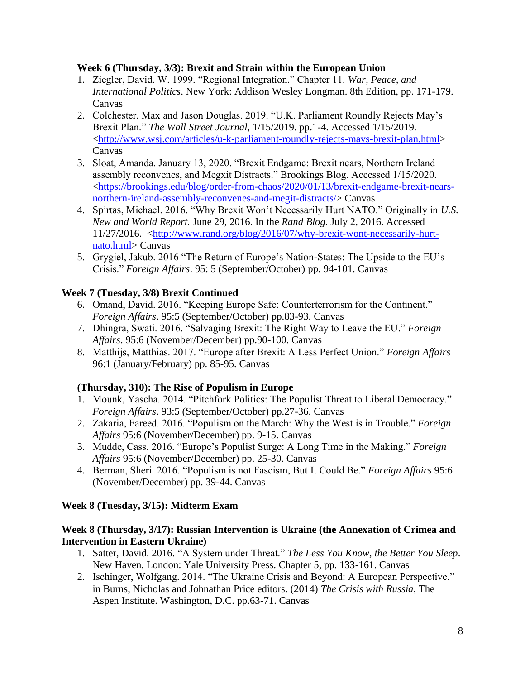### **Week 6 (Thursday, 3/3): Brexit and Strain within the European Union**

- 1. Ziegler, David. W. 1999. "Regional Integration." Chapter 11. *War, Peace, and International Politics*. New York: Addison Wesley Longman. 8th Edition, pp. 171-179. Canvas
- 2. Colchester, Max and Jason Douglas. 2019. "U.K. Parliament Roundly Rejects May's Brexit Plan." *The Wall Street Journal*, 1/15/2019. pp.1-4. Accessed 1/15/2019. [<http://www.wsj.com/articles/u-k-parliament-roundly-rejects-mays-brexit-plan.html>](http://www.wsj.com/articles/u-k-parliament-roundly-rejects-mays-brexit-plan.html) Canvas
- 3. Sloat, Amanda. January 13, 2020. "Brexit Endgame: Brexit nears, Northern Ireland assembly reconvenes, and Megxit Distracts." Brookings Blog. Accessed 1/15/2020. [<https://brookings.edu/blog/order-from-chaos/2020/01/13/brexit-endgame-brexit-nears](https://brookings.edu/blog/order-from-chaos/2020/01/13/brexit-endgame-brexit-nears-northern-ireland-assembly-reconvenes-and-megit-distracts/)[northern-ireland-assembly-reconvenes-and-megit-distracts/>](https://brookings.edu/blog/order-from-chaos/2020/01/13/brexit-endgame-brexit-nears-northern-ireland-assembly-reconvenes-and-megit-distracts/) Canvas
- 4. Spirtas, Michael. 2016. "Why Brexit Won't Necessarily Hurt NATO." Originally in *U.S. New and World Report.* June 29, 2016. In the *Rand Blog.* July 2, 2016. Accessed 11/27/2016. [<http://www.rand.org/blog/2016/07/why-brexit-wont-necessarily-hurt](http://www.rand.org/vivisimo/cgi-bin/query-meta?v%3afile=viv_DrjHhG&v%3astate=root%7croot-0-20%7c0&url=http%3a%2f%2fwww.rand.org%2fblog%2f2016%2f07%2fwhy-brexit-wont-necessarily-hurt-nato.html&rid=Ndoc37&v%3aframe=redirect&v%3aredirect-hash=1a50ebf9b80e6065ec4ff7a3cdd74cb0&)[nato.html>](http://www.rand.org/vivisimo/cgi-bin/query-meta?v%3afile=viv_DrjHhG&v%3astate=root%7croot-0-20%7c0&url=http%3a%2f%2fwww.rand.org%2fblog%2f2016%2f07%2fwhy-brexit-wont-necessarily-hurt-nato.html&rid=Ndoc37&v%3aframe=redirect&v%3aredirect-hash=1a50ebf9b80e6065ec4ff7a3cdd74cb0&) Canvas
- 5. Grygiel, Jakub. 2016 "The Return of Europe's Nation-States: The Upside to the EU's Crisis." *Foreign Affairs*. 95: 5 (September/October) pp. 94-101. Canvas

# **Week 7 (Tuesday, 3/8) Brexit Continued**

- 6. Omand, David. 2016. "Keeping Europe Safe: Counterterrorism for the Continent." *Foreign Affairs*. 95:5 (September/October) pp.83-93. Canvas
- 7. Dhingra, Swati. 2016. "Salvaging Brexit: The Right Way to Leave the EU." *Foreign Affairs*. 95:6 (November/December) pp.90-100. Canvas
- 8. Matthijs, Matthias. 2017. "Europe after Brexit: A Less Perfect Union." *Foreign Affairs* 96:1 (January/February) pp. 85-95. Canvas

# **(Thursday, 310): The Rise of Populism in Europe**

- 1. Mounk, Yascha. 2014. "Pitchfork Politics: The Populist Threat to Liberal Democracy." *Foreign Affairs*. 93:5 (September/October) pp.27-36. Canvas
- 2. Zakaria, Fareed. 2016. "Populism on the March: Why the West is in Trouble." *Foreign Affairs* 95:6 (November/December) pp. 9-15. Canvas
- 3. Mudde, Cass. 2016. "Europe's Populist Surge: A Long Time in the Making." *Foreign Affairs* 95:6 (November/December) pp. 25-30. Canvas
- 4. Berman, Sheri. 2016. "Populism is not Fascism, But It Could Be." *Foreign Affairs* 95:6 (November/December) pp. 39-44. Canvas

# **Week 8 (Tuesday, 3/15): Midterm Exam**

# **Week 8 (Thursday, 3/17): Russian Intervention is Ukraine (the Annexation of Crimea and Intervention in Eastern Ukraine)**

- 1. Satter, David. 2016. "A System under Threat." *The Less You Know, the Better You Sleep*. New Haven, London: Yale University Press. Chapter 5, pp. 133-161. Canvas
- 2. Ischinger, Wolfgang. 2014. "The Ukraine Crisis and Beyond: A European Perspective." in Burns, Nicholas and Johnathan Price editors. (2014) *The Crisis with Russia,* The Aspen Institute. Washington, D.C. pp.63-71. Canvas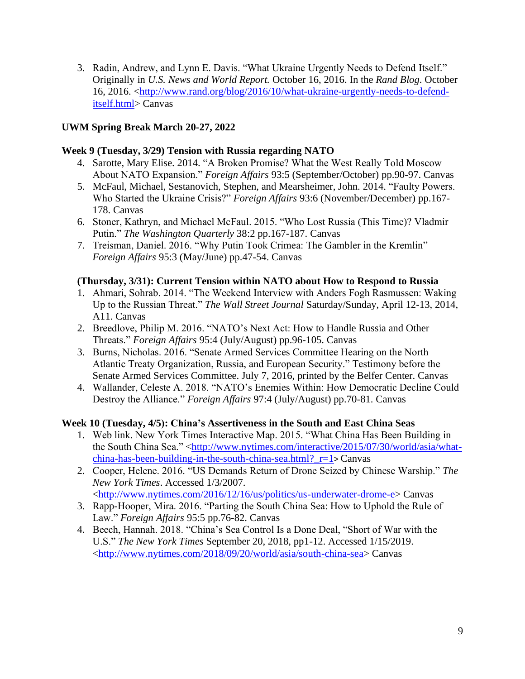3. Radin, Andrew, and Lynn E. Davis. "What Ukraine Urgently Needs to Defend Itself." Originally in *U.S. News and World Report.* October 16, 2016. In the *Rand Blog*. October 16, 2016. [<http://www.rand.org/blog/2016/10/what-ukraine-urgently-needs-to-defend](http://www.rand.org/blog/2016/10/what-ukraine-urgently-needs-to-defend-itself.html)[itself.html>](http://www.rand.org/blog/2016/10/what-ukraine-urgently-needs-to-defend-itself.html) Canvas

# **UWM Spring Break March 20-27, 2022**

### **Week 9 (Tuesday, 3/29) Tension with Russia regarding NATO**

- 4. Sarotte, Mary Elise. 2014. "A Broken Promise? What the West Really Told Moscow About NATO Expansion." *Foreign Affairs* 93:5 (September/October) pp.90-97. Canvas
- 5. McFaul, Michael, Sestanovich, Stephen, and Mearsheimer, John. 2014. "Faulty Powers. Who Started the Ukraine Crisis?" *Foreign Affairs* 93:6 (November/December) pp.167- 178. Canvas
- 6. Stoner, Kathryn, and Michael McFaul. 2015. "Who Lost Russia (This Time)? Vladmir Putin." *The Washington Quarterly* 38:2 pp.167-187. Canvas
- 7. Treisman, Daniel. 2016. "Why Putin Took Crimea: The Gambler in the Kremlin" *Foreign Affairs* 95:3 (May/June) pp.47-54. Canvas

### **(Thursday, 3/31): Current Tension within NATO about How to Respond to Russia**

- 1. Ahmari, Sohrab. 2014. "The Weekend Interview with Anders Fogh Rasmussen: Waking Up to the Russian Threat." *The Wall Street Journal* Saturday/Sunday, April 12-13, 2014, A11. Canvas
- 2. Breedlove, Philip M. 2016. "NATO's Next Act: How to Handle Russia and Other Threats." *Foreign Affairs* 95:4 (July/August) pp.96-105. Canvas
- 3. Burns, Nicholas. 2016. "Senate Armed Services Committee Hearing on the North Atlantic Treaty Organization, Russia, and European Security." Testimony before the Senate Armed Services Committee. July 7, 2016, printed by the Belfer Center. Canvas
- 4. Wallander, Celeste A. 2018. "NATO's Enemies Within: How Democratic Decline Could Destroy the Alliance." *Foreign Affairs* 97:4 (July/August) pp.70-81. Canvas

# **Week 10 (Tuesday, 4/5): China's Assertiveness in the South and East China Seas**

- 1. Web link. New York Times Interactive Map. 2015. "What China Has Been Building in the South China Sea." [<http://www.nytimes.com/interactive/2015/07/30/world/asia/what](http://www.nytimes.com/interactive/2015/07/30/world/asia/what-china-has-been-building-in-the-south-china-sea.html?_r=1)china-has-been-building-in-the-south-china-sea.html? $r=1>$  Canvas
- 2. Cooper, Helene. 2016. "US Demands Return of Drone Seized by Chinese Warship." *The New York Times*. Accessed 1/3/2007.

[<http://www.nytimes.com/2016/12/16/us/politics/us-underwater-drome-e>](http://www.nytimes.com/2016/12/16/us/politics/us-underwater-drome-e) Canvas

- 3. Rapp-Hooper, Mira. 2016. "Parting the South China Sea: How to Uphold the Rule of Law." *Foreign Affairs* 95:5 pp.76-82. Canvas
- 4. Beech, Hannah. 2018. "China's Sea Control Is a Done Deal, "Short of War with the U.S." *The New York Times* September 20, 2018, pp1-12. Accessed 1/15/2019. [<http://www.nytimes.com/2018/09/20/world/asia/south-china-sea>](http://www.nytimes.com/2018/09/20/world/asia/south-china-sea) Canvas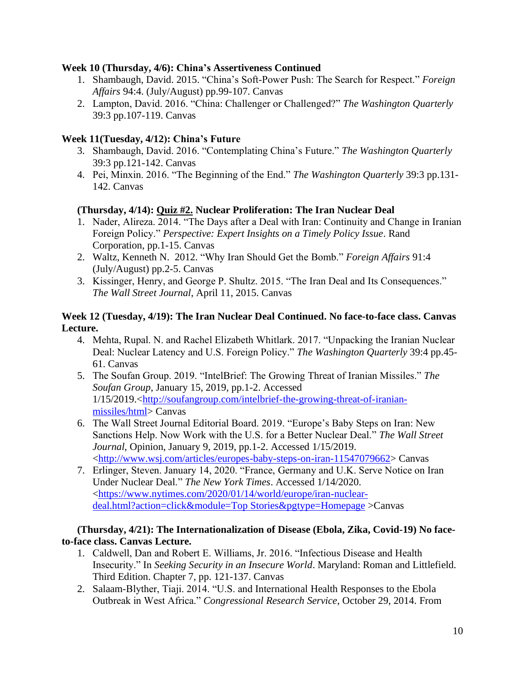### **Week 10 (Thursday, 4/6): China's Assertiveness Continued**

- 1. Shambaugh, David. 2015. "China's Soft-Power Push: The Search for Respect." *Foreign Affairs* 94:4. (July/August) pp.99-107. Canvas
- 2. Lampton, David. 2016. "China: Challenger or Challenged?" *The Washington Quarterly* 39:3 pp.107-119. Canvas

### **Week 11(Tuesday, 4/12): China's Future**

- 3. Shambaugh, David. 2016. "Contemplating China's Future." *The Washington Quarterly* 39:3 pp.121-142. Canvas
- 4. Pei, Minxin. 2016. "The Beginning of the End." *The Washington Quarterly* 39:3 pp.131- 142. Canvas

### **(Thursday, 4/14): Quiz #2. Nuclear Proliferation: The Iran Nuclear Deal**

- 1. Nader, Alireza. 2014. "The Days after a Deal with Iran: Continuity and Change in Iranian Foreign Policy." *Perspective: Expert Insights on a Timely Policy Issue*. Rand Corporation, pp.1-15. Canvas
- 2. Waltz, Kenneth N. 2012. "Why Iran Should Get the Bomb." *Foreign Affairs* 91:4 (July/August) pp.2-5. Canvas
- 3. Kissinger, Henry, and George P. Shultz. 2015. "The Iran Deal and Its Consequences." *The Wall Street Journal*, April 11, 2015. Canvas

### **Week 12 (Tuesday, 4/19): The Iran Nuclear Deal Continued. No face-to-face class. Canvas Lecture.**

- 4. Mehta, Rupal. N. and Rachel Elizabeth Whitlark. 2017. "Unpacking the Iranian Nuclear Deal: Nuclear Latency and U.S. Foreign Policy." *The Washington Quarterly* 39:4 pp.45- 61. Canvas
- 5. The Soufan Group. 2019. "IntelBrief: The Growing Threat of Iranian Missiles." *The Soufan Group*, January 15, 2019, pp.1-2. Accessed 1/15/2019.[<http://soufangroup.com/intelbrief-the-growing-threat-of-iranian](http://soufangroup.com/intelbrief-the-growing-threat-of-iranian-missiles/html)[missiles/html>](http://soufangroup.com/intelbrief-the-growing-threat-of-iranian-missiles/html) Canvas
- 6. The Wall Street Journal Editorial Board. 2019. "Europe's Baby Steps on Iran: New Sanctions Help. Now Work with the U.S. for a Better Nuclear Deal." *The Wall Street Journal*, Opinion, January 9, 2019, pp.1-2. Accessed 1/15/2019. [<http://www.wsj.com/articles/europes-baby-steps-on-iran-11547079662>](http://www.wsj.com/articles/europes-baby-steps-on-iran-11547079662) Canvas
- 7. Erlinger, Steven. January 14, 2020. "France, Germany and U.K. Serve Notice on Iran Under Nuclear Deal." *The New York Times*. Accessed 1/14/2020. [<https://www.nytimes.com/2020/01/14/world/europe/iran-nuclear](https://www.nytimes.com/2020/01/14/world/europe/iran-nuclear-deal.html?action=click&module=Top%20Stories&pgtype=Homepage)[deal.html?action=click&module=Top Stories&pgtype=Homepage](https://www.nytimes.com/2020/01/14/world/europe/iran-nuclear-deal.html?action=click&module=Top%20Stories&pgtype=Homepage) >Canvas

#### **(Thursday, 4/21): The Internationalization of Disease (Ebola, Zika, Covid-19) No faceto-face class. Canvas Lecture.**

- 1. Caldwell, Dan and Robert E. Williams, Jr. 2016. "Infectious Disease and Health Insecurity." In *Seeking Security in an Insecure World*. Maryland: Roman and Littlefield. Third Edition. Chapter 7, pp. 121-137. Canvas
- 2. Salaam-Blyther, Tiaji. 2014. "U.S. and International Health Responses to the Ebola Outbreak in West Africa." *Congressional Research Service*, October 29, 2014. From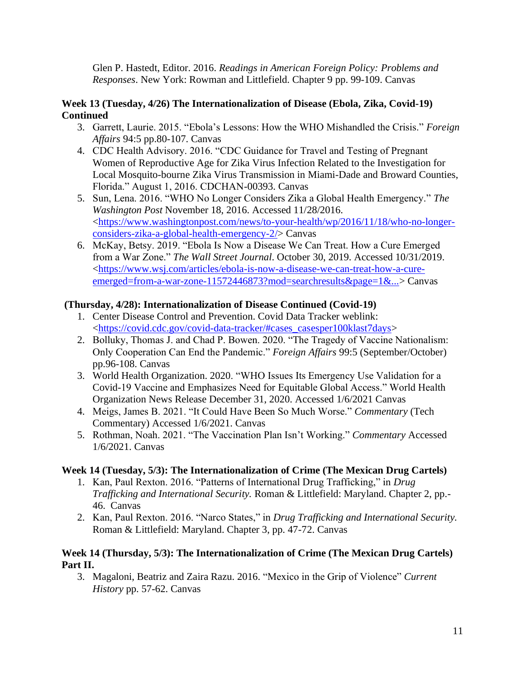Glen P. Hastedt, Editor. 2016. *Readings in American Foreign Policy: Problems and Responses*. New York: Rowman and Littlefield. Chapter 9 pp. 99-109. Canvas

### **Week 13 (Tuesday, 4/26) The Internationalization of Disease (Ebola, Zika, Covid-19) Continued**

- 3. Garrett, Laurie. 2015. "Ebola's Lessons: How the WHO Mishandled the Crisis." *Foreign Affairs* 94:5 pp.80-107. Canvas
- 4. CDC Health Advisory. 2016. "CDC Guidance for Travel and Testing of Pregnant Women of Reproductive Age for Zika Virus Infection Related to the Investigation for Local Mosquito-bourne Zika Virus Transmission in Miami-Dade and Broward Counties, Florida." August 1, 2016. CDCHAN-00393. Canvas
- 5. Sun, Lena. 2016. "WHO No Longer Considers Zika a Global Health Emergency." *The Washington Post* November 18, 2016. Accessed 11/28/2016. [<https://www.washingtonpost.com/news/to-your-health/wp/2016/11/18/who-no-longer](https://www.washingtonpost.com/news/to-your-health/wp/2016/11/18/who-no-longer-considers-zika-a-global-health-emergency-2/)[considers-zika-a-global-health-emergency-2/>](https://www.washingtonpost.com/news/to-your-health/wp/2016/11/18/who-no-longer-considers-zika-a-global-health-emergency-2/) Canvas
- 6. McKay, Betsy. 2019. "Ebola Is Now a Disease We Can Treat. How a Cure Emerged from a War Zone." *The Wall Street Journal*. October 30, 2019. Accessed 10/31/2019. [<https://www.wsj.com/articles/ebola-is-now-a-disease-we-can-treat-how-a-cure](https://www.wsj.com/articles/ebola-is-now-a-disease-we-can-treat-how-a-cure-emerged=from-a-war-zone-11572446873?mod=searchresults&page=1&...)[emerged=from-a-war-zone-11572446873?mod=searchresults&page=1&...>](https://www.wsj.com/articles/ebola-is-now-a-disease-we-can-treat-how-a-cure-emerged=from-a-war-zone-11572446873?mod=searchresults&page=1&...) Canvas

# **(Thursday, 4/28): Internationalization of Disease Continued (Covid-19)**

- 1. Center Disease Control and Prevention. Covid Data Tracker weblink: [<https://covid.cdc.gov/covid-data-tracker/#cases\\_casesper100klast7days>](https://covid.cdc.gov/covid-data-tracker/#cases_casesper100klast7days)
- 2. Bolluky, Thomas J. and Chad P. Bowen. 2020. "The Tragedy of Vaccine Nationalism: Only Cooperation Can End the Pandemic." *Foreign Affairs* 99:5 (September/October) pp.96-108. Canvas
- 3. World Health Organization. 2020. "WHO Issues Its Emergency Use Validation for a Covid-19 Vaccine and Emphasizes Need for Equitable Global Access." World Health Organization News Release December 31, 2020. Accessed 1/6/2021 Canvas
- 4. Meigs, James B. 2021. "It Could Have Been So Much Worse." *Commentary* (Tech Commentary) Accessed 1/6/2021. Canvas
- 5. Rothman, Noah. 2021. "The Vaccination Plan Isn't Working." *Commentary* Accessed 1/6/2021. Canvas

# **Week 14 (Tuesday, 5/3): The Internationalization of Crime (The Mexican Drug Cartels)**

- 1. Kan, Paul Rexton. 2016. "Patterns of International Drug Trafficking," in *Drug Trafficking and International Security.* Roman & Littlefield: Maryland. Chapter 2, pp.- 46. Canvas
- 2. Kan, Paul Rexton. 2016. "Narco States," in *Drug Trafficking and International Security.*  Roman & Littlefield: Maryland. Chapter 3, pp. 47-72. Canvas

# **Week 14 (Thursday, 5/3): The Internationalization of Crime (The Mexican Drug Cartels) Part II.**

3. Magaloni, Beatriz and Zaira Razu. 2016. "Mexico in the Grip of Violence" *Current History* pp. 57-62. Canvas